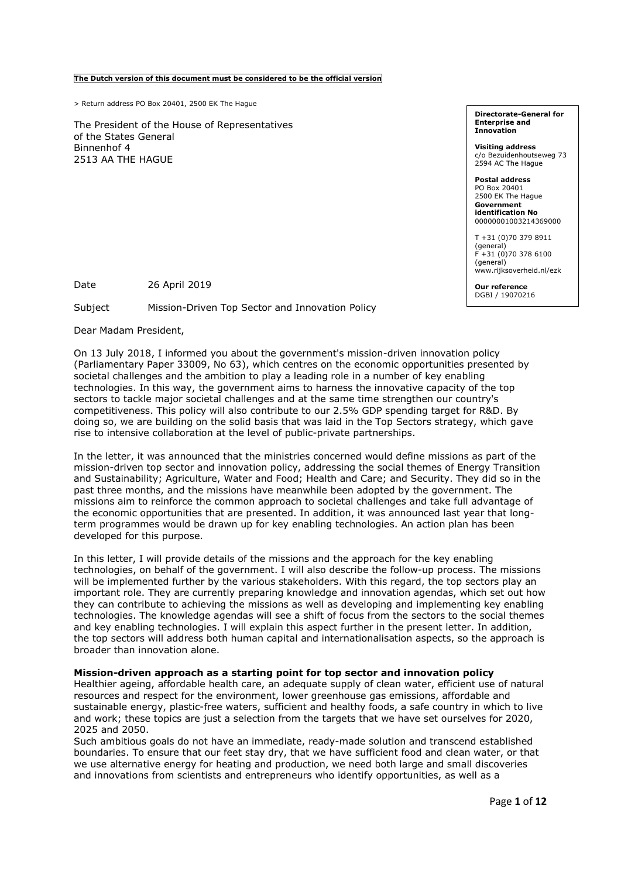The Dutch version of this document must be considered to be the official version

> Return address PO Box 20401, 2500 EK The Hague

The President of the House of Representatives of the States General Binnenhof 4 2513 AA THE HAGUE

Directorate-General for Enterprise and Innovation

Visiting address c/o Bezuidenhoutseweg 73 2594 AC The Hague

Postal address PO Box 20401 2500 EK The Hague Government identification No 00000001003214369000

T +31 (0)70 379 8911 (general)  $+31$  (0)70 378 6100 (general) www.rijksoverheid.nl/ezk

Our reference DGBI / 19070216

Date 26 April 2019

Subject Mission-Driven Top Sector and Innovation Policy

Dear Madam President,

On 13 July 2018, I informed you about the government's mission-driven innovation policy (Parliamentary Paper 33009, No 63), which centres on the economic opportunities presented by societal challenges and the ambition to play a leading role in a number of key enabling technologies. In this way, the government aims to harness the innovative capacity of the top sectors to tackle major societal challenges and at the same time strengthen our country's competitiveness. This policy will also contribute to our 2.5% GDP spending target for R&D. By doing so, we are building on the solid basis that was laid in the Top Sectors strategy, which gave rise to intensive collaboration at the level of public-private partnerships.

In the letter, it was announced that the ministries concerned would define missions as part of the mission-driven top sector and innovation policy, addressing the social themes of Energy Transition and Sustainability; Agriculture, Water and Food; Health and Care; and Security. They did so in the past three months, and the missions have meanwhile been adopted by the government. The missions aim to reinforce the common approach to societal challenges and take full advantage of the economic opportunities that are presented. In addition, it was announced last year that longterm programmes would be drawn up for key enabling technologies. An action plan has been developed for this purpose.

In this letter, I will provide details of the missions and the approach for the key enabling technologies, on behalf of the government. I will also describe the follow-up process. The missions will be implemented further by the various stakeholders. With this regard, the top sectors play an important role. They are currently preparing knowledge and innovation agendas, which set out how they can contribute to achieving the missions as well as developing and implementing key enabling technologies. The knowledge agendas will see a shift of focus from the sectors to the social themes and key enabling technologies. I will explain this aspect further in the present letter. In addition, the top sectors will address both human capital and internationalisation aspects, so the approach is broader than innovation alone.

#### Mission-driven approach as a starting point for top sector and innovation policy

Healthier ageing, affordable health care, an adequate supply of clean water, efficient use of natural resources and respect for the environment, lower greenhouse gas emissions, affordable and sustainable energy, plastic-free waters, sufficient and healthy foods, a safe country in which to live and work; these topics are just a selection from the targets that we have set ourselves for 2020, 2025 and 2050.

Such ambitious goals do not have an immediate, ready-made solution and transcend established boundaries. To ensure that our feet stay dry, that we have sufficient food and clean water, or that we use alternative energy for heating and production, we need both large and small discoveries and innovations from scientists and entrepreneurs who identify opportunities, as well as a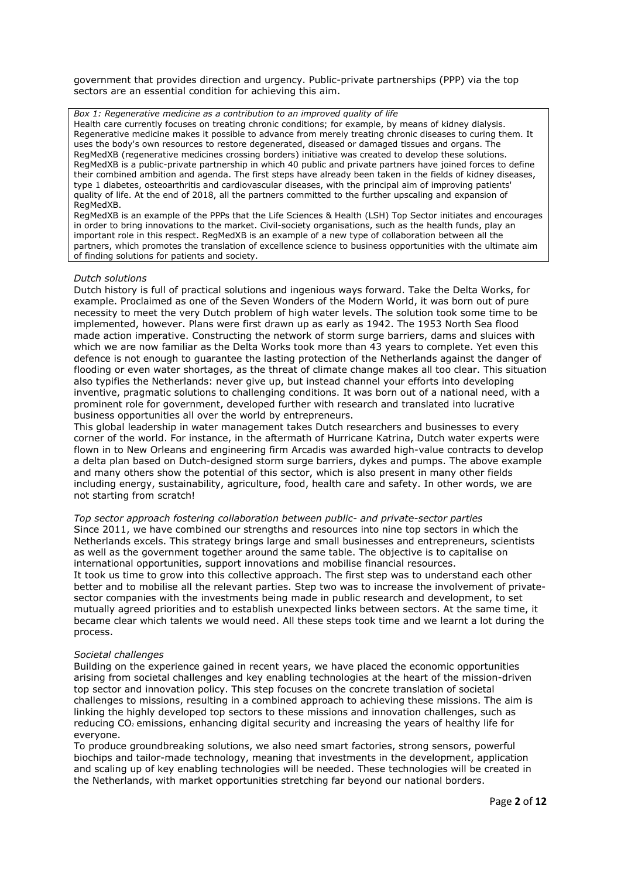government that provides direction and urgency. Public-private partnerships (PPP) via the top sectors are an essential condition for achieving this aim.

Box 1: Regenerative medicine as a contribution to an improved quality of life Health care currently focuses on treating chronic conditions; for example, by means of kidney dialysis. Regenerative medicine makes it possible to advance from merely treating chronic diseases to curing them. It uses the body's own resources to restore degenerated, diseased or damaged tissues and organs. The RegMedXB (regenerative medicines crossing borders) initiative was created to develop these solutions. RegMedXB is a public-private partnership in which 40 public and private partners have joined forces to define their combined ambition and agenda. The first steps have already been taken in the fields of kidney diseases, type 1 diabetes, osteoarthritis and cardiovascular diseases, with the principal aim of improving patients' quality of life. At the end of 2018, all the partners committed to the further upscaling and expansion of RegMedXB.

RegMedXB is an example of the PPPs that the Life Sciences & Health (LSH) Top Sector initiates and encourages in order to bring innovations to the market. Civil-society organisations, such as the health funds, play an important role in this respect. RegMedXB is an example of a new type of collaboration between all the partners, which promotes the translation of excellence science to business opportunities with the ultimate aim of finding solutions for patients and society.

#### Dutch solutions

Dutch history is full of practical solutions and ingenious ways forward. Take the Delta Works, for example. Proclaimed as one of the Seven Wonders of the Modern World, it was born out of pure necessity to meet the very Dutch problem of high water levels. The solution took some time to be implemented, however. Plans were first drawn up as early as 1942. The 1953 North Sea flood made action imperative. Constructing the network of storm surge barriers, dams and sluices with which we are now familiar as the Delta Works took more than 43 years to complete. Yet even this defence is not enough to guarantee the lasting protection of the Netherlands against the danger of flooding or even water shortages, as the threat of climate change makes all too clear. This situation also typifies the Netherlands: never give up, but instead channel your efforts into developing inventive, pragmatic solutions to challenging conditions. It was born out of a national need, with a prominent role for government, developed further with research and translated into lucrative business opportunities all over the world by entrepreneurs.

This global leadership in water management takes Dutch researchers and businesses to every corner of the world. For instance, in the aftermath of Hurricane Katrina, Dutch water experts were flown in to New Orleans and engineering firm Arcadis was awarded high-value contracts to develop a delta plan based on Dutch-designed storm surge barriers, dykes and pumps. The above example and many others show the potential of this sector, which is also present in many other fields including energy, sustainability, agriculture, food, health care and safety. In other words, we are not starting from scratch!

Top sector approach fostering collaboration between public- and private-sector parties Since 2011, we have combined our strengths and resources into nine top sectors in which the Netherlands excels. This strategy brings large and small businesses and entrepreneurs, scientists as well as the government together around the same table. The objective is to capitalise on international opportunities, support innovations and mobilise financial resources. It took us time to grow into this collective approach. The first step was to understand each other better and to mobilise all the relevant parties. Step two was to increase the involvement of privatesector companies with the investments being made in public research and development, to set mutually agreed priorities and to establish unexpected links between sectors. At the same time, it became clear which talents we would need. All these steps took time and we learnt a lot during the process.

#### Societal challenges

Building on the experience gained in recent years, we have placed the economic opportunities arising from societal challenges and key enabling technologies at the heart of the mission-driven top sector and innovation policy. This step focuses on the concrete translation of societal challenges to missions, resulting in a combined approach to achieving these missions. The aim is linking the highly developed top sectors to these missions and innovation challenges, such as reducing CO<sub>2</sub> emissions, enhancing digital security and increasing the years of healthy life for everyone.

To produce groundbreaking solutions, we also need smart factories, strong sensors, powerful biochips and tailor-made technology, meaning that investments in the development, application and scaling up of key enabling technologies will be needed. These technologies will be created in the Netherlands, with market opportunities stretching far beyond our national borders.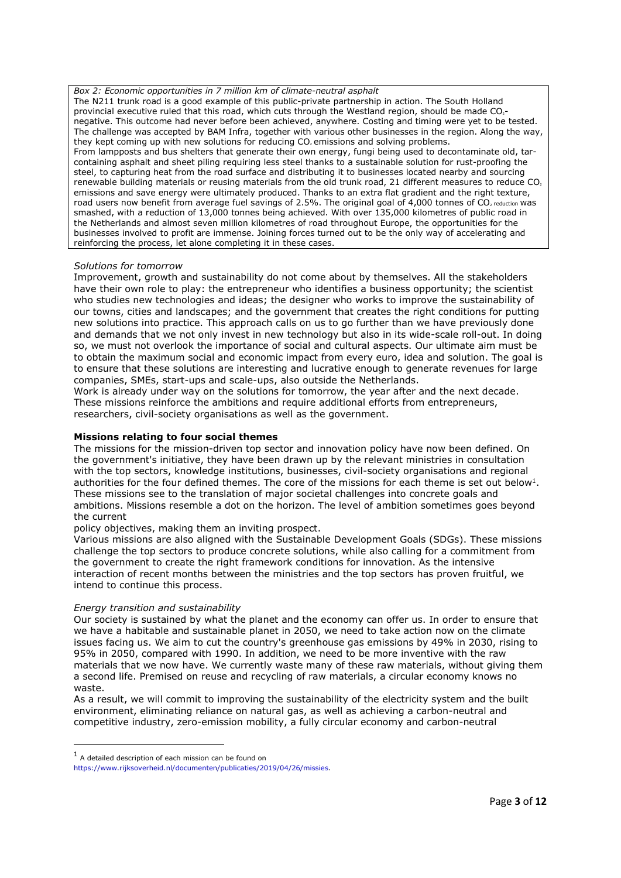Box 2: Economic opportunities in 7 million km of climate-neutral asphalt The N211 trunk road is a good example of this public-private partnership in action. The South Holland provincial executive ruled that this road, which cuts through the Westland region, should be made CO<sub>2</sub>negative. This outcome had never before been achieved, anywhere. Costing and timing were yet to be tested. The challenge was accepted by BAM Infra, together with various other businesses in the region. Along the way, they kept coming up with new solutions for reducing CO<sub>2</sub> emissions and solving problems. From lampposts and bus shelters that generate their own energy, fungi being used to decontaminate old, tarcontaining asphalt and sheet piling requiring less steel thanks to a sustainable solution for rust-proofing the steel, to capturing heat from the road surface and distributing it to businesses located nearby and sourcing renewable building materials or reusing materials from the old trunk road, 21 different measures to reduce CO, emissions and save energy were ultimately produced. Thanks to an extra flat gradient and the right texture, road users now benefit from average fuel savings of 2.5%. The original goal of 4,000 tonnes of CO<sub>2</sub> reduction was smashed, with a reduction of 13,000 tonnes being achieved. With over 135,000 kilometres of public road in the Netherlands and almost seven million kilometres of road throughout Europe, the opportunities for the businesses involved to profit are immense. Joining forces turned out to be the only way of accelerating and reinforcing the process, let alone completing it in these cases.

## Solutions for tomorrow

Improvement, growth and sustainability do not come about by themselves. All the stakeholders have their own role to play: the entrepreneur who identifies a business opportunity; the scientist who studies new technologies and ideas; the designer who works to improve the sustainability of our towns, cities and landscapes; and the government that creates the right conditions for putting new solutions into practice. This approach calls on us to go further than we have previously done and demands that we not only invest in new technology but also in its wide-scale roll-out. In doing so, we must not overlook the importance of social and cultural aspects. Our ultimate aim must be to obtain the maximum social and economic impact from every euro, idea and solution. The goal is to ensure that these solutions are interesting and lucrative enough to generate revenues for large companies, SMEs, start-ups and scale-ups, also outside the Netherlands.

Work is already under way on the solutions for tomorrow, the year after and the next decade. These missions reinforce the ambitions and require additional efforts from entrepreneurs, researchers, civil-society organisations as well as the government.

## Missions relating to four social themes

The missions for the mission-driven top sector and innovation policy have now been defined. On the government's initiative, they have been drawn up by the relevant ministries in consultation with the top sectors, knowledge institutions, businesses, civil-society organisations and regional authorities for the four defined themes. The core of the missions for each theme is set out below<sup>1</sup>. These missions see to the translation of major societal challenges into concrete goals and ambitions. Missions resemble a dot on the horizon. The level of ambition sometimes goes beyond the current

policy objectives, making them an inviting prospect.

Various missions are also aligned with the Sustainable Development Goals (SDGs). These missions challenge the top sectors to produce concrete solutions, while also calling for a commitment from the government to create the right framework conditions for innovation. As the intensive interaction of recent months between the ministries and the top sectors has proven fruitful, we intend to continue this process.

#### Energy transition and sustainability

Our society is sustained by what the planet and the economy can offer us. In order to ensure that we have a habitable and sustainable planet in 2050, we need to take action now on the climate issues facing us. We aim to cut the country's greenhouse gas emissions by 49% in 2030, rising to 95% in 2050, compared with 1990. In addition, we need to be more inventive with the raw materials that we now have. We currently waste many of these raw materials, without giving them a second life. Premised on reuse and recycling of raw materials, a circular economy knows no waste.

As a result, we will commit to improving the sustainability of the electricity system and the built environment, eliminating reliance on natural gas, as well as achieving a carbon-neutral and competitive industry, zero-emission mobility, a fully circular economy and carbon-neutral

 $<sup>1</sup>$  A detailed description of each mission can be found on</sup>

https://www.rijksoverheid.nl/documenten/publicaties/2019/04/26/missies.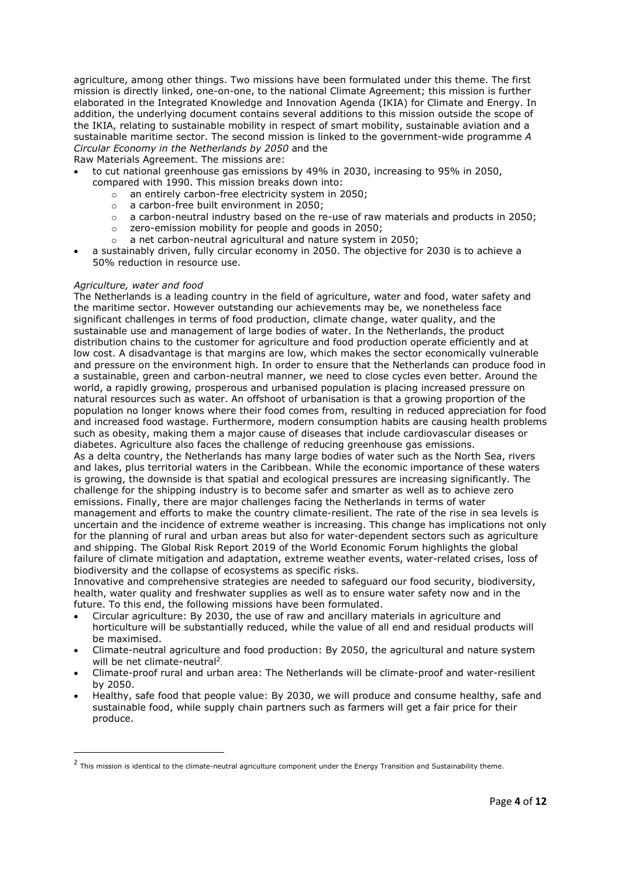agriculture, among other things. Two missions have been formulated under this theme. The first mission is directly linked, one-on-one, to the national Climate Agreement; this mission is further elaborated in the Integrated Knowledge and Innovation Agenda (IKIA) for Climate and Energy. In addition, the underlying document contains several additions to this mission outside the scope of the IKIA, relating to sustainable mobility in respect of smart mobility, sustainable aviation and a sustainable maritime sector. The second mission is linked to the government-wide programme A Circular Economy in the Netherlands by 2050 and the

Raw Materials Agreement. The missions are:

- to cut national greenhouse gas emissions by 49% in 2030, increasing to 95% in 2050, compared with 1990. This mission breaks down into:
	- o an entirely carbon-free electricity system in 2050;
	-
	- o a carbon-free built environment in 2050; a carbon-neutral industry based on the re-use of raw materials and products in 2050;
	- o zero-emission mobility for people and goods in 2050;
	- o a net carbon-neutral agricultural and nature system in 2050;
- a sustainably driven, fully circular economy in 2050. The objective for 2030 is to achieve a 50% reduction in resource use.

# Agriculture, water and food

The Netherlands is a leading country in the field of agriculture, water and food, water safety and the maritime sector. However outstanding our achievements may be, we nonetheless face significant challenges in terms of food production, climate change, water quality, and the sustainable use and management of large bodies of water. In the Netherlands, the product distribution chains to the customer for agriculture and food production operate efficiently and at low cost. A disadvantage is that margins are low, which makes the sector economically vulnerable and pressure on the environment high. In order to ensure that the Netherlands can produce food in a sustainable, green and carbon-neutral manner, we need to close cycles even better. Around the world, a rapidly growing, prosperous and urbanised population is placing increased pressure on natural resources such as water. An offshoot of urbanisation is that a growing proportion of the population no longer knows where their food comes from, resulting in reduced appreciation for food and increased food wastage. Furthermore, modern consumption habits are causing health problems such as obesity, making them a major cause of diseases that include cardiovascular diseases or diabetes. Agriculture also faces the challenge of reducing greenhouse gas emissions.

As a delta country, the Netherlands has many large bodies of water such as the North Sea, rivers and lakes, plus territorial waters in the Caribbean. While the economic importance of these waters is growing, the downside is that spatial and ecological pressures are increasing significantly. The challenge for the shipping industry is to become safer and smarter as well as to achieve zero emissions. Finally, there are major challenges facing the Netherlands in terms of water management and efforts to make the country climate-resilient. The rate of the rise in sea levels is uncertain and the incidence of extreme weather is increasing. This change has implications not only for the planning of rural and urban areas but also for water-dependent sectors such as agriculture and shipping. The Global Risk Report 2019 of the World Economic Forum highlights the global

failure of climate mitigation and adaptation, extreme weather events, water-related crises, loss of biodiversity and the collapse of ecosystems as specific risks.

Innovative and comprehensive strategies are needed to safeguard our food security, biodiversity, health, water quality and freshwater supplies as well as to ensure water safety now and in the future. To this end, the following missions have been formulated.

- Circular agriculture: By 2030, the use of raw and ancillary materials in agriculture and horticulture will be substantially reduced, while the value of all end and residual products will be maximised.
- Climate-neutral agriculture and food production: By 2050, the agricultural and nature system will be net climate-neutral<sup>2</sup>.
- Climate-proof rural and urban area: The Netherlands will be climate-proof and water-resilient by 2050.
- Healthy, safe food that people value: By 2030, we will produce and consume healthy, safe and sustainable food, while supply chain partners such as farmers will get a fair price for their produce.

 $<sup>2</sup>$  This mission is identical to the climate-neutral agriculture component under the Energy Transition and Sustainability theme.</sup>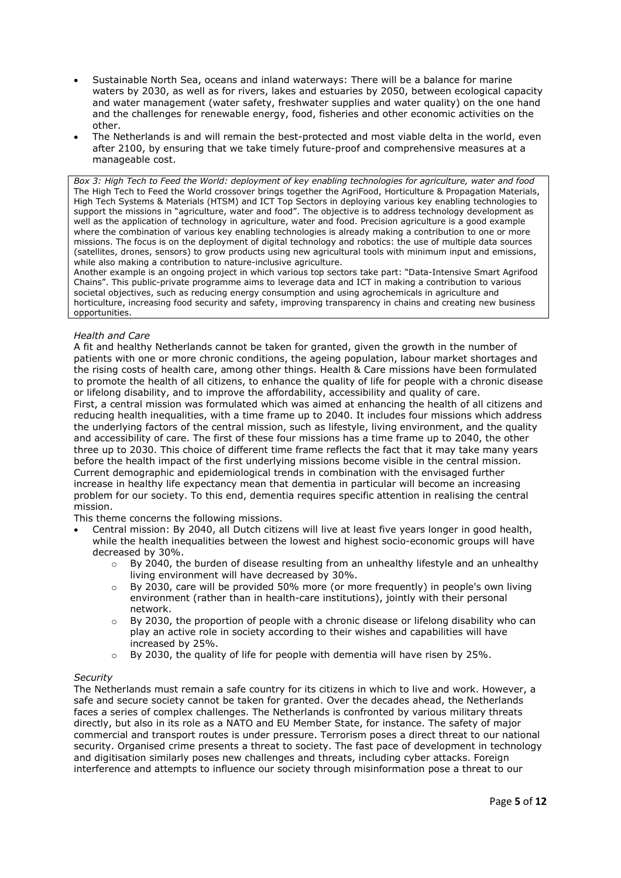- Sustainable North Sea, oceans and inland waterways: There will be a balance for marine waters by 2030, as well as for rivers, lakes and estuaries by 2050, between ecological capacity and water management (water safety, freshwater supplies and water quality) on the one hand and the challenges for renewable energy, food, fisheries and other economic activities on the other.
- The Netherlands is and will remain the best-protected and most viable delta in the world, even after 2100, by ensuring that we take timely future-proof and comprehensive measures at a manageable cost.

Box 3: High Tech to Feed the World: deployment of key enabling technologies for agriculture, water and food The High Tech to Feed the World crossover brings together the AgriFood, Horticulture & Propagation Materials, High Tech Systems & Materials (HTSM) and ICT Top Sectors in deploying various key enabling technologies to support the missions in "agriculture, water and food". The objective is to address technology development as well as the application of technology in agriculture, water and food. Precision agriculture is a good example where the combination of various key enabling technologies is already making a contribution to one or more missions. The focus is on the deployment of digital technology and robotics: the use of multiple data sources (satellites, drones, sensors) to grow products using new agricultural tools with minimum input and emissions, while also making a contribution to nature-inclusive agriculture.

Another example is an ongoing project in which various top sectors take part: "Data-Intensive Smart Agrifood Chains". This public-private programme aims to leverage data and ICT in making a contribution to various societal objectives, such as reducing energy consumption and using agrochemicals in agriculture and horticulture, increasing food security and safety, improving transparency in chains and creating new business opportunities.

# Health and Care

A fit and healthy Netherlands cannot be taken for granted, given the growth in the number of patients with one or more chronic conditions, the ageing population, labour market shortages and the rising costs of health care, among other things. Health & Care missions have been formulated to promote the health of all citizens, to enhance the quality of life for people with a chronic disease or lifelong disability, and to improve the affordability, accessibility and quality of care.

First, a central mission was formulated which was aimed at enhancing the health of all citizens and reducing health inequalities, with a time frame up to 2040. It includes four missions which address the underlying factors of the central mission, such as lifestyle, living environment, and the quality and accessibility of care. The first of these four missions has a time frame up to 2040, the other three up to 2030. This choice of different time frame reflects the fact that it may take many years before the health impact of the first underlying missions become visible in the central mission. Current demographic and epidemiological trends in combination with the envisaged further increase in healthy life expectancy mean that dementia in particular will become an increasing problem for our society. To this end, dementia requires specific attention in realising the central mission.

This theme concerns the following missions.

- Central mission: By 2040, all Dutch citizens will live at least five years longer in good health, while the health inequalities between the lowest and highest socio-economic groups will have decreased by 30%.
	- $\circ$  By 2040, the burden of disease resulting from an unhealthy lifestyle and an unhealthy living environment will have decreased by 30%.
	- $\circ$  By 2030, care will be provided 50% more (or more frequently) in people's own living environment (rather than in health-care institutions), jointly with their personal network.
	- $\circ$  By 2030, the proportion of people with a chronic disease or lifelong disability who can play an active role in society according to their wishes and capabilities will have increased by 25%.
	- $\circ$  By 2030, the quality of life for people with dementia will have risen by 25%.

# **Security**

The Netherlands must remain a safe country for its citizens in which to live and work. However, a safe and secure society cannot be taken for granted. Over the decades ahead, the Netherlands faces a series of complex challenges. The Netherlands is confronted by various military threats directly, but also in its role as a NATO and EU Member State, for instance. The safety of major commercial and transport routes is under pressure. Terrorism poses a direct threat to our national security. Organised crime presents a threat to society. The fast pace of development in technology and digitisation similarly poses new challenges and threats, including cyber attacks. Foreign interference and attempts to influence our society through misinformation pose a threat to our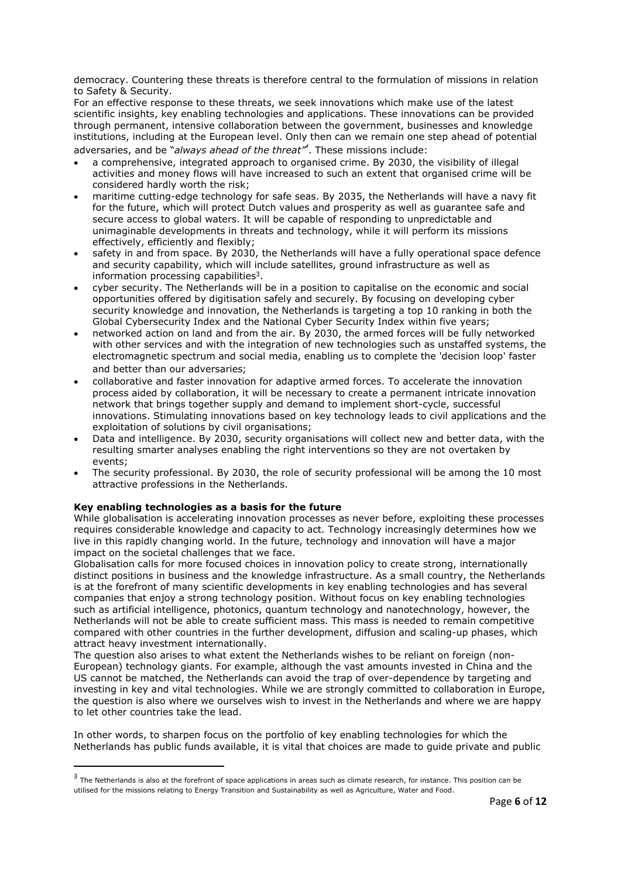democracy. Countering these threats is therefore central to the formulation of missions in relation to Safety & Security.

For an effective response to these threats, we seek innovations which make use of the latest scientific insights, key enabling technologies and applications. These innovations can be provided through permanent, intensive collaboration between the government, businesses and knowledge institutions, including at the European level. Only then can we remain one step ahead of potential adversaries, and be "always ahead of the threat". These missions include:

- a comprehensive, integrated approach to organised crime. By 2030, the visibility of illegal activities and money flows will have increased to such an extent that organised crime will be considered hardly worth the risk;
- maritime cutting-edge technology for safe seas. By 2035, the Netherlands will have a navy fit for the future, which will protect Dutch values and prosperity as well as guarantee safe and secure access to global waters. It will be capable of responding to unpredictable and unimaginable developments in threats and technology, while it will perform its missions effectively, efficiently and flexibly;
- safety in and from space. By 2030, the Netherlands will have a fully operational space defence and security capability, which will include satellites, ground infrastructure as well as information processing capabilities<sup>3</sup>.
- cyber security. The Netherlands will be in a position to capitalise on the economic and social opportunities offered by digitisation safely and securely. By focusing on developing cyber security knowledge and innovation, the Netherlands is targeting a top 10 ranking in both the Global Cybersecurity Index and the National Cyber Security Index within five years;
- networked action on land and from the air. By 2030, the armed forces will be fully networked with other services and with the integration of new technologies such as unstaffed systems, the electromagnetic spectrum and social media, enabling us to complete the 'decision loop' faster and better than our adversaries;
- collaborative and faster innovation for adaptive armed forces. To accelerate the innovation process aided by collaboration, it will be necessary to create a permanent intricate innovation network that brings together supply and demand to implement short-cycle, successful innovations. Stimulating innovations based on key technology leads to civil applications and the exploitation of solutions by civil organisations;
- Data and intelligence. By 2030, security organisations will collect new and better data, with the resulting smarter analyses enabling the right interventions so they are not overtaken by events;
- The security professional. By 2030, the role of security professional will be among the 10 most attractive professions in the Netherlands.

# Key enabling technologies as a basis for the future

-

While globalisation is accelerating innovation processes as never before, exploiting these processes requires considerable knowledge and capacity to act. Technology increasingly determines how we live in this rapidly changing world. In the future, technology and innovation will have a major impact on the societal challenges that we face.

Globalisation calls for more focused choices in innovation policy to create strong, internationally distinct positions in business and the knowledge infrastructure. As a small country, the Netherlands is at the forefront of many scientific developments in key enabling technologies and has several companies that enjoy a strong technology position. Without focus on key enabling technologies such as artificial intelligence, photonics, quantum technology and nanotechnology, however, the Netherlands will not be able to create sufficient mass. This mass is needed to remain competitive compared with other countries in the further development, diffusion and scaling-up phases, which attract heavy investment internationally.

The question also arises to what extent the Netherlands wishes to be reliant on foreign (non-European) technology giants. For example, although the vast amounts invested in China and the US cannot be matched, the Netherlands can avoid the trap of over-dependence by targeting and investing in key and vital technologies. While we are strongly committed to collaboration in Europe, the question is also where we ourselves wish to invest in the Netherlands and where we are happy to let other countries take the lead.

In other words, to sharpen focus on the portfolio of key enabling technologies for which the Netherlands has public funds available, it is vital that choices are made to guide private and public

<sup>&</sup>lt;sup>3</sup> The Netherlands is also at the forefront of space applications in areas such as climate research, for instance. This position can be utilised for the missions relating to Energy Transition and Sustainability as well as Agriculture, Water and Food.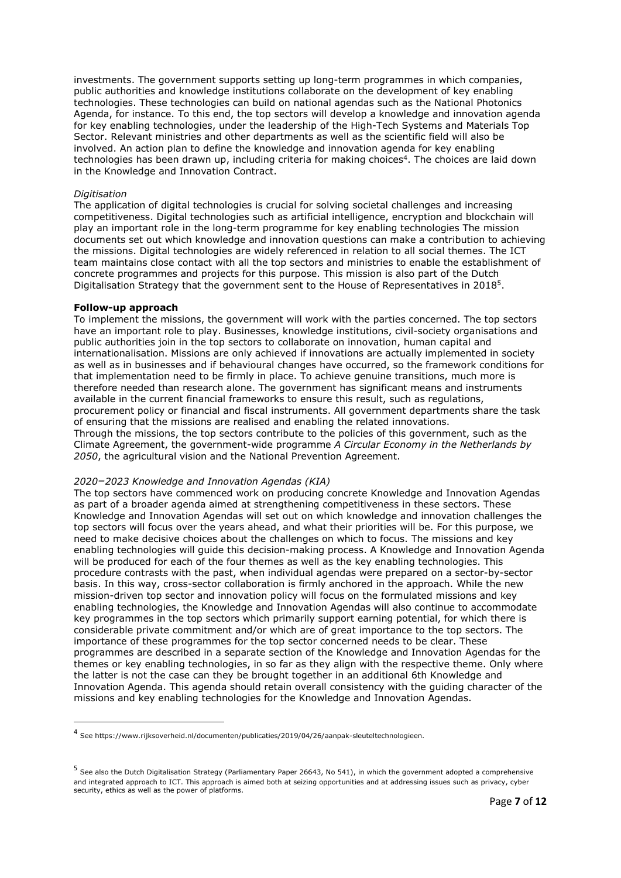investments. The government supports setting up long-term programmes in which companies, public authorities and knowledge institutions collaborate on the development of key enabling technologies. These technologies can build on national agendas such as the National Photonics Agenda, for instance. To this end, the top sectors will develop a knowledge and innovation agenda for key enabling technologies, under the leadership of the High-Tech Systems and Materials Top Sector. Relevant ministries and other departments as well as the scientific field will also be involved. An action plan to define the knowledge and innovation agenda for key enabling technologies has been drawn up, including criteria for making choices<sup>4</sup>. The choices are laid down in the Knowledge and Innovation Contract.

### **Digitisation**

The application of digital technologies is crucial for solving societal challenges and increasing competitiveness. Digital technologies such as artificial intelligence, encryption and blockchain will play an important role in the long-term programme for key enabling technologies The mission documents set out which knowledge and innovation questions can make a contribution to achieving the missions. Digital technologies are widely referenced in relation to all social themes. The ICT team maintains close contact with all the top sectors and ministries to enable the establishment of concrete programmes and projects for this purpose. This mission is also part of the Dutch Digitalisation Strategy that the government sent to the House of Representatives in 2018<sup>5</sup>.

## Follow-up approach

To implement the missions, the government will work with the parties concerned. The top sectors have an important role to play. Businesses, knowledge institutions, civil-society organisations and public authorities join in the top sectors to collaborate on innovation, human capital and internationalisation. Missions are only achieved if innovations are actually implemented in society as well as in businesses and if behavioural changes have occurred, so the framework conditions for that implementation need to be firmly in place. To achieve genuine transitions, much more is therefore needed than research alone. The government has significant means and instruments available in the current financial frameworks to ensure this result, such as regulations, procurement policy or financial and fiscal instruments. All government departments share the task of ensuring that the missions are realised and enabling the related innovations. Through the missions, the top sectors contribute to the policies of this government, such as the Climate Agreement, the government-wide programme A Circular Economy in the Netherlands by 2050, the agricultural vision and the National Prevention Agreement.

# 2020–2023 Knowledge and Innovation Agendas (KIA)

The top sectors have commenced work on producing concrete Knowledge and Innovation Agendas as part of a broader agenda aimed at strengthening competitiveness in these sectors. These Knowledge and Innovation Agendas will set out on which knowledge and innovation challenges the top sectors will focus over the years ahead, and what their priorities will be. For this purpose, we need to make decisive choices about the challenges on which to focus. The missions and key enabling technologies will guide this decision-making process. A Knowledge and Innovation Agenda will be produced for each of the four themes as well as the key enabling technologies. This procedure contrasts with the past, when individual agendas were prepared on a sector-by-sector basis. In this way, cross-sector collaboration is firmly anchored in the approach. While the new mission-driven top sector and innovation policy will focus on the formulated missions and key enabling technologies, the Knowledge and Innovation Agendas will also continue to accommodate key programmes in the top sectors which primarily support earning potential, for which there is considerable private commitment and/or which are of great importance to the top sectors. The importance of these programmes for the top sector concerned needs to be clear. These programmes are described in a separate section of the Knowledge and Innovation Agendas for the themes or key enabling technologies, in so far as they align with the respective theme. Only where the latter is not the case can they be brought together in an additional 6th Knowledge and Innovation Agenda. This agenda should retain overall consistency with the guiding character of the missions and key enabling technologies for the Knowledge and Innovation Agendas.

<sup>4</sup> See https://www.rijksoverheid.nl/documenten/publicaties/2019/04/26/aanpak-sleuteltechnologieen.

<sup>&</sup>lt;sup>5</sup> See also the Dutch Digitalisation Strategy (Parliamentary Paper 26643, No 541), in which the government adopted a comprehensive and integrated approach to ICT. This approach is aimed both at seizing opportunities and at addressing issues such as privacy, cyber security, ethics as well as the power of platforms.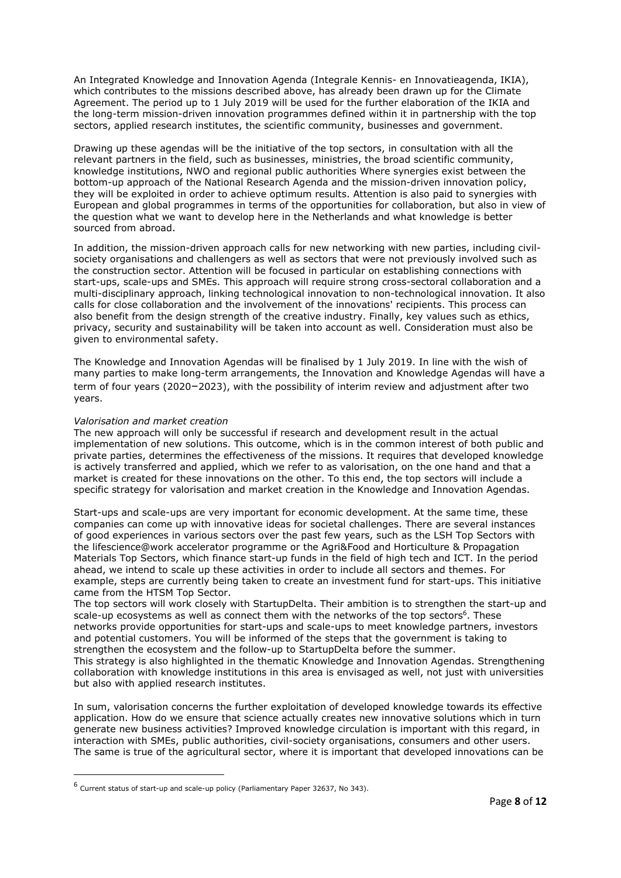An Integrated Knowledge and Innovation Agenda (Integrale Kennis- en Innovatieagenda, IKIA), which contributes to the missions described above, has already been drawn up for the Climate Agreement. The period up to 1 July 2019 will be used for the further elaboration of the IKIA and the long-term mission-driven innovation programmes defined within it in partnership with the top sectors, applied research institutes, the scientific community, businesses and government.

Drawing up these agendas will be the initiative of the top sectors, in consultation with all the relevant partners in the field, such as businesses, ministries, the broad scientific community, knowledge institutions, NWO and regional public authorities Where synergies exist between the bottom-up approach of the National Research Agenda and the mission-driven innovation policy, they will be exploited in order to achieve optimum results. Attention is also paid to synergies with European and global programmes in terms of the opportunities for collaboration, but also in view of the question what we want to develop here in the Netherlands and what knowledge is better sourced from abroad.

In addition, the mission-driven approach calls for new networking with new parties, including civilsociety organisations and challengers as well as sectors that were not previously involved such as the construction sector. Attention will be focused in particular on establishing connections with start-ups, scale-ups and SMEs. This approach will require strong cross-sectoral collaboration and a multi-disciplinary approach, linking technological innovation to non-technological innovation. It also calls for close collaboration and the involvement of the innovations' recipients. This process can also benefit from the design strength of the creative industry. Finally, key values such as ethics, privacy, security and sustainability will be taken into account as well. Consideration must also be given to environmental safety.

The Knowledge and Innovation Agendas will be finalised by 1 July 2019. In line with the wish of many parties to make long-term arrangements, the Innovation and Knowledge Agendas will have a term of four years (2020–2023), with the possibility of interim review and adjustment after two years.

## Valorisation and market creation

-

The new approach will only be successful if research and development result in the actual implementation of new solutions. This outcome, which is in the common interest of both public and private parties, determines the effectiveness of the missions. It requires that developed knowledge is actively transferred and applied, which we refer to as valorisation, on the one hand and that a market is created for these innovations on the other. To this end, the top sectors will include a specific strategy for valorisation and market creation in the Knowledge and Innovation Agendas.

Start-ups and scale-ups are very important for economic development. At the same time, these companies can come up with innovative ideas for societal challenges. There are several instances of good experiences in various sectors over the past few years, such as the LSH Top Sectors with the lifescience@work accelerator programme or the Agri&Food and Horticulture & Propagation Materials Top Sectors, which finance start-up funds in the field of high tech and ICT. In the period ahead, we intend to scale up these activities in order to include all sectors and themes. For example, steps are currently being taken to create an investment fund for start-ups. This initiative came from the HTSM Top Sector.

The top sectors will work closely with StartupDelta. Their ambition is to strengthen the start-up and scale-up ecosystems as well as connect them with the networks of the top sectors<sup>6</sup>. These networks provide opportunities for start-ups and scale-ups to meet knowledge partners, investors and potential customers. You will be informed of the steps that the government is taking to strengthen the ecosystem and the follow-up to StartupDelta before the summer.

This strategy is also highlighted in the thematic Knowledge and Innovation Agendas. Strengthening collaboration with knowledge institutions in this area is envisaged as well, not just with universities but also with applied research institutes.

In sum, valorisation concerns the further exploitation of developed knowledge towards its effective application. How do we ensure that science actually creates new innovative solutions which in turn generate new business activities? Improved knowledge circulation is important with this regard, in interaction with SMEs, public authorities, civil-society organisations, consumers and other users. The same is true of the agricultural sector, where it is important that developed innovations can be

 $^6$  Current status of start-up and scale-up policy (Parliamentary Paper 32637, No 343).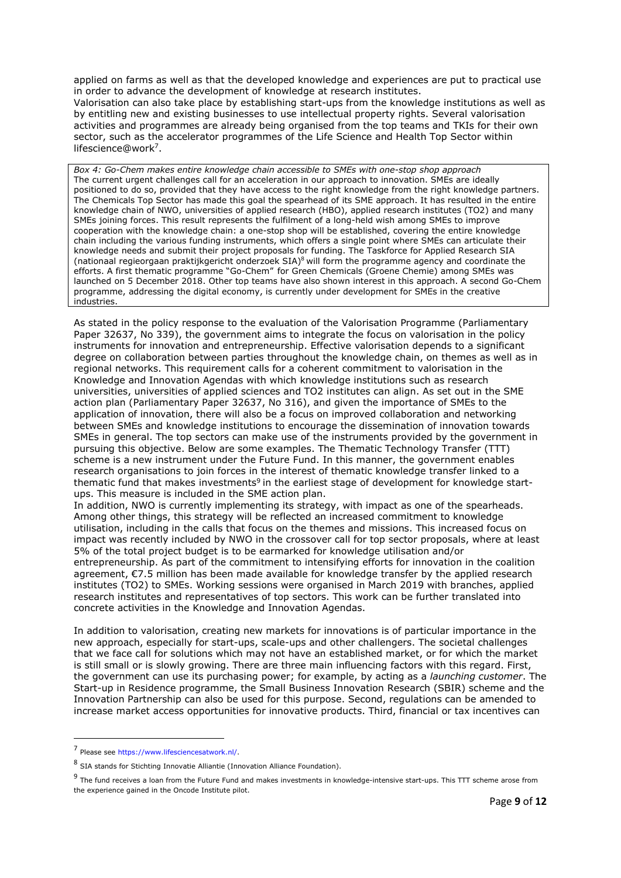applied on farms as well as that the developed knowledge and experiences are put to practical use in order to advance the development of knowledge at research institutes.

Valorisation can also take place by establishing start-ups from the knowledge institutions as well as by entitling new and existing businesses to use intellectual property rights. Several valorisation activities and programmes are already being organised from the top teams and TKIs for their own sector, such as the accelerator programmes of the Life Science and Health Top Sector within lifescience@work<sup>7</sup> .

Box 4: Go-Chem makes entire knowledge chain accessible to SMEs with one-stop shop approach The current urgent challenges call for an acceleration in our approach to innovation. SMEs are ideally positioned to do so, provided that they have access to the right knowledge from the right knowledge partners. The Chemicals Top Sector has made this goal the spearhead of its SME approach. It has resulted in the entire knowledge chain of NWO, universities of applied research (HBO), applied research institutes (TO2) and many SMEs joining forces. This result represents the fulfilment of a long-held wish among SMEs to improve cooperation with the knowledge chain: a one-stop shop will be established, covering the entire knowledge chain including the various funding instruments, which offers a single point where SMEs can articulate their knowledge needs and submit their project proposals for funding. The Taskforce for Applied Research SIA (nationaal regieorgaan praktijkgericht onderzoek SIA)<sup>8</sup> will form the programme agency and coordinate the efforts. A first thematic programme "Go-Chem" for Green Chemicals (Groene Chemie) among SMEs was launched on 5 December 2018. Other top teams have also shown interest in this approach. A second Go-Chem programme, addressing the digital economy, is currently under development for SMEs in the creative industries.

As stated in the policy response to the evaluation of the Valorisation Programme (Parliamentary Paper 32637, No 339), the government aims to integrate the focus on valorisation in the policy instruments for innovation and entrepreneurship. Effective valorisation depends to a significant degree on collaboration between parties throughout the knowledge chain, on themes as well as in regional networks. This requirement calls for a coherent commitment to valorisation in the Knowledge and Innovation Agendas with which knowledge institutions such as research universities, universities of applied sciences and TO2 institutes can align. As set out in the SME action plan (Parliamentary Paper 32637, No 316), and given the importance of SMEs to the application of innovation, there will also be a focus on improved collaboration and networking between SMEs and knowledge institutions to encourage the dissemination of innovation towards SMEs in general. The top sectors can make use of the instruments provided by the government in pursuing this objective. Below are some examples. The Thematic Technology Transfer (TTT) scheme is a new instrument under the Future Fund. In this manner, the government enables research organisations to join forces in the interest of thematic knowledge transfer linked to a thematic fund that makes investments<sup>9</sup> in the earliest stage of development for knowledge startups. This measure is included in the SME action plan.

In addition, NWO is currently implementing its strategy, with impact as one of the spearheads. Among other things, this strategy will be reflected an increased commitment to knowledge utilisation, including in the calls that focus on the themes and missions. This increased focus on impact was recently included by NWO in the crossover call for top sector proposals, where at least 5% of the total project budget is to be earmarked for knowledge utilisation and/or entrepreneurship. As part of the commitment to intensifying efforts for innovation in the coalition agreement, €7.5 million has been made available for knowledge transfer by the applied research institutes (TO2) to SMEs. Working sessions were organised in March 2019 with branches, applied research institutes and representatives of top sectors. This work can be further translated into concrete activities in the Knowledge and Innovation Agendas.

In addition to valorisation, creating new markets for innovations is of particular importance in the new approach, especially for start-ups, scale-ups and other challengers. The societal challenges that we face call for solutions which may not have an established market, or for which the market is still small or is slowly growing. There are three main influencing factors with this regard. First, the government can use its purchasing power; for example, by acting as a *launching customer*. The Start-up in Residence programme, the Small Business Innovation Research (SBIR) scheme and the Innovation Partnership can also be used for this purpose. Second, regulations can be amended to increase market access opportunities for innovative products. Third, financial or tax incentives can

-

<sup>7</sup> Please see https://www.lifesciencesatwork.nl/.

<sup>8</sup> SIA stands for Stichting Innovatie Alliantie (Innovation Alliance Foundation).

<sup>&</sup>lt;sup>9</sup> The fund receives a loan from the Future Fund and makes investments in knowledge-intensive start-ups. This TTT scheme arose from the experience gained in the Oncode Institute pilot.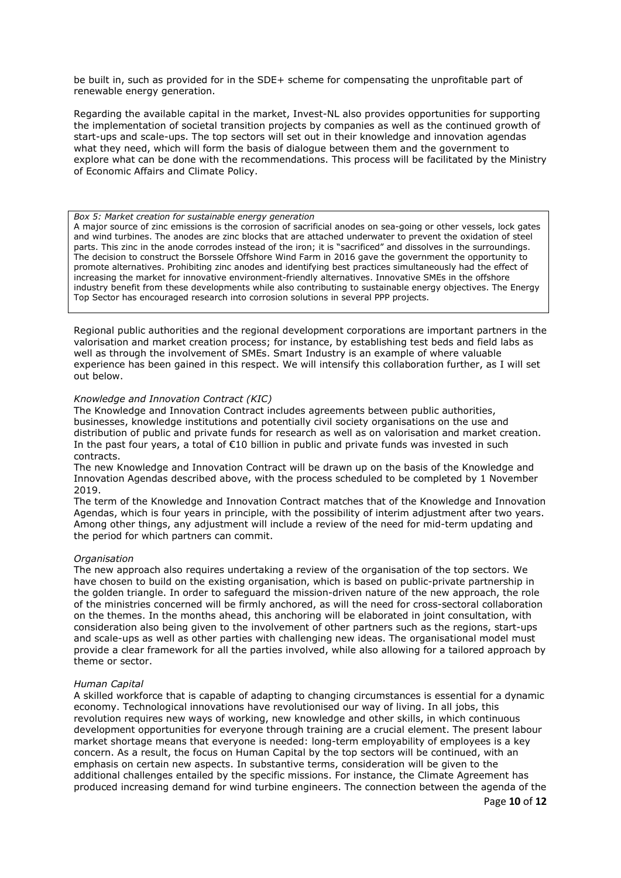be built in, such as provided for in the SDE+ scheme for compensating the unprofitable part of renewable energy generation.

Regarding the available capital in the market, Invest-NL also provides opportunities for supporting the implementation of societal transition projects by companies as well as the continued growth of start-ups and scale-ups. The top sectors will set out in their knowledge and innovation agendas what they need, which will form the basis of dialogue between them and the government to explore what can be done with the recommendations. This process will be facilitated by the Ministry of Economic Affairs and Climate Policy.

#### Box 5: Market creation for sustainable energy generation

A major source of zinc emissions is the corrosion of sacrificial anodes on sea-going or other vessels, lock gates and wind turbines. The anodes are zinc blocks that are attached underwater to prevent the oxidation of steel parts. This zinc in the anode corrodes instead of the iron; it is "sacrificed" and dissolves in the surroundings. The decision to construct the Borssele Offshore Wind Farm in 2016 gave the government the opportunity to promote alternatives. Prohibiting zinc anodes and identifying best practices simultaneously had the effect of increasing the market for innovative environment-friendly alternatives. Innovative SMEs in the offshore industry benefit from these developments while also contributing to sustainable energy objectives. The Energy Top Sector has encouraged research into corrosion solutions in several PPP projects.

Regional public authorities and the regional development corporations are important partners in the valorisation and market creation process; for instance, by establishing test beds and field labs as well as through the involvement of SMEs. Smart Industry is an example of where valuable experience has been gained in this respect. We will intensify this collaboration further, as I will set out below.

# Knowledge and Innovation Contract (KIC)

The Knowledge and Innovation Contract includes agreements between public authorities, businesses, knowledge institutions and potentially civil society organisations on the use and distribution of public and private funds for research as well as on valorisation and market creation. In the past four years, a total of €10 billion in public and private funds was invested in such contracts.

The new Knowledge and Innovation Contract will be drawn up on the basis of the Knowledge and Innovation Agendas described above, with the process scheduled to be completed by 1 November 2019.

The term of the Knowledge and Innovation Contract matches that of the Knowledge and Innovation Agendas, which is four years in principle, with the possibility of interim adjustment after two years. Among other things, any adjustment will include a review of the need for mid-term updating and the period for which partners can commit.

#### **Organisation**

The new approach also requires undertaking a review of the organisation of the top sectors. We have chosen to build on the existing organisation, which is based on public-private partnership in the golden triangle. In order to safeguard the mission-driven nature of the new approach, the role of the ministries concerned will be firmly anchored, as will the need for cross-sectoral collaboration on the themes. In the months ahead, this anchoring will be elaborated in joint consultation, with consideration also being given to the involvement of other partners such as the regions, start-ups and scale-ups as well as other parties with challenging new ideas. The organisational model must provide a clear framework for all the parties involved, while also allowing for a tailored approach by theme or sector.

#### Human Capital

A skilled workforce that is capable of adapting to changing circumstances is essential for a dynamic economy. Technological innovations have revolutionised our way of living. In all jobs, this revolution requires new ways of working, new knowledge and other skills, in which continuous development opportunities for everyone through training are a crucial element. The present labour market shortage means that everyone is needed: long-term employability of employees is a key concern. As a result, the focus on Human Capital by the top sectors will be continued, with an emphasis on certain new aspects. In substantive terms, consideration will be given to the additional challenges entailed by the specific missions. For instance, the Climate Agreement has produced increasing demand for wind turbine engineers. The connection between the agenda of the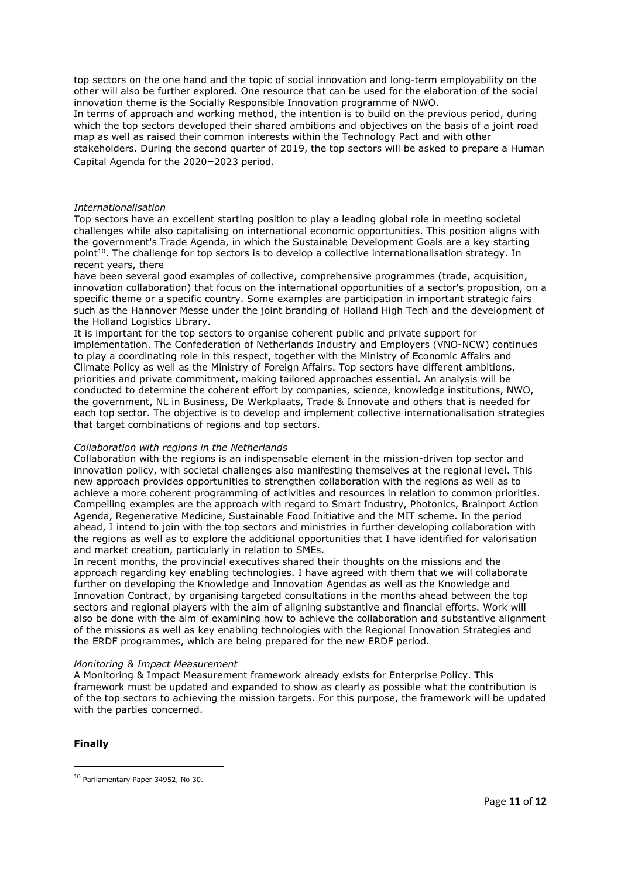top sectors on the one hand and the topic of social innovation and long-term employability on the other will also be further explored. One resource that can be used for the elaboration of the social innovation theme is the Socially Responsible Innovation programme of NWO.

In terms of approach and working method, the intention is to build on the previous period, during which the top sectors developed their shared ambitions and objectives on the basis of a joint road map as well as raised their common interests within the Technology Pact and with other stakeholders. During the second quarter of 2019, the top sectors will be asked to prepare a Human Capital Agenda for the 2020–2023 period.

### Internationalisation

Top sectors have an excellent starting position to play a leading global role in meeting societal challenges while also capitalising on international economic opportunities. This position aligns with the government's Trade Agenda, in which the Sustainable Development Goals are a key starting point<sup>10</sup>. The challenge for top sectors is to develop a collective internationalisation strategy. In recent years, there

have been several good examples of collective, comprehensive programmes (trade, acquisition, innovation collaboration) that focus on the international opportunities of a sector's proposition, on a specific theme or a specific country. Some examples are participation in important strategic fairs such as the Hannover Messe under the joint branding of Holland High Tech and the development of the Holland Logistics Library.

It is important for the top sectors to organise coherent public and private support for implementation. The Confederation of Netherlands Industry and Employers (VNO-NCW) continues to play a coordinating role in this respect, together with the Ministry of Economic Affairs and Climate Policy as well as the Ministry of Foreign Affairs. Top sectors have different ambitions, priorities and private commitment, making tailored approaches essential. An analysis will be conducted to determine the coherent effort by companies, science, knowledge institutions, NWO, the government, NL in Business, De Werkplaats, Trade & Innovate and others that is needed for each top sector. The objective is to develop and implement collective internationalisation strategies that target combinations of regions and top sectors.

# Collaboration with regions in the Netherlands

Collaboration with the regions is an indispensable element in the mission-driven top sector and innovation policy, with societal challenges also manifesting themselves at the regional level. This new approach provides opportunities to strengthen collaboration with the regions as well as to achieve a more coherent programming of activities and resources in relation to common priorities. Compelling examples are the approach with regard to Smart Industry, Photonics, Brainport Action Agenda, Regenerative Medicine, Sustainable Food Initiative and the MIT scheme. In the period ahead, I intend to join with the top sectors and ministries in further developing collaboration with the regions as well as to explore the additional opportunities that I have identified for valorisation and market creation, particularly in relation to SMEs.

In recent months, the provincial executives shared their thoughts on the missions and the approach regarding key enabling technologies. I have agreed with them that we will collaborate further on developing the Knowledge and Innovation Agendas as well as the Knowledge and Innovation Contract, by organising targeted consultations in the months ahead between the top sectors and regional players with the aim of aligning substantive and financial efforts. Work will also be done with the aim of examining how to achieve the collaboration and substantive alignment of the missions as well as key enabling technologies with the Regional Innovation Strategies and the ERDF programmes, which are being prepared for the new ERDF period.

#### Monitoring & Impact Measurement

A Monitoring & Impact Measurement framework already exists for Enterprise Policy. This framework must be updated and expanded to show as clearly as possible what the contribution is of the top sectors to achieving the mission targets. For this purpose, the framework will be updated with the parties concerned.

# Finally

-

<sup>10</sup> Parliamentary Paper 34952, No 30.